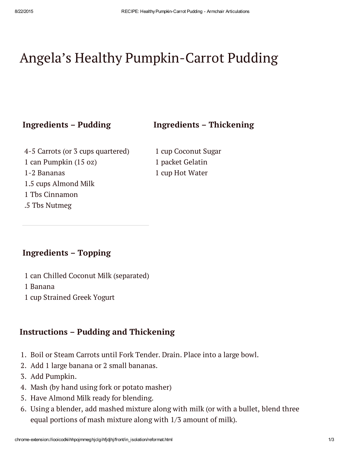# Angela's Healthy Pumpkin-Carrot Pudding

#### Ingredients – Pudding Ingredients – Thickening

4-5 Carrots (or 3 cups quartered) 1 can Pumpkin (15 oz) 1-2 Bananas 1.5 cups Almond Milk 1 Tbs Cinnamon .5 Tbs Nutmeg

1 cup Coconut Sugar 1 packet Gelatin 1 cup Hot Water

### Ingredients – Topping

- 1 can Chilled Coconut Milk (separated)
- 1 Banana
- 1 cup Strained Greek Yogurt

#### Instructions – Pudding and Thickening

- 1. Boil or Steam Carrots until Fork Tender. Drain. Place into a large bowl.
- 2. Add 1 large banana or 2 small bananas.
- 3. Add Pumpkin.
- 4. Mash (by hand using fork or potato masher)
- 5. Have Almond Milk ready for blending.
- 6. Using a blender, add mashed mixture along with milk (or with a bullet, blend three equal portions of mash mixture along with 1/3 amount of milk).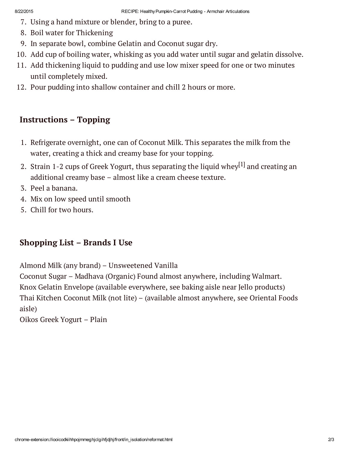- 7. Using a hand mixture or blender, bring to a puree.
- 8. Boil water for Thickening
- 9. In separate bowl, combine Gelatin and Coconut sugar dry.
- 10. Add cup of boiling water, whisking as you add water until sugar and gelatin dissolve.
- 11. Add thickening liquid to pudding and use low mixer speed for one or two minutes until completely mixed.
- 12. Pour pudding into shallow container and chill 2 hours or more.

# Instructions – Topping

- 1. Refrigerate overnight, one can of Coconut Milk. This separates the milk from the water, creating a thick and creamy base for your topping.
- 2. Strain 1-2 cups of Greek Yogurt, thus [separating](https://en.wikipedia.org/wiki/Strained_yogurt) the liquid whey $^{\left[ 1\right] }$  and creating an additional creamy base – almost like a cream cheese texture.
- 3. Peel a banana.
- 4. Mix on low speed until smooth
- 5. Chill for two hours.

## Shopping List – Brands I Use

Almond Milk (any brand) – Unsweetened Vanilla

Coconut Sugar – Madhava (Organic) Found almost anywhere, including Walmart. Knox Gelatin Envelope (available everywhere, see baking aisle near Jello products) Thai Kitchen Coconut Milk (not lite) – (available almost anywhere, see Oriental Foods aisle)

Oikos Greek Yogurt – Plain